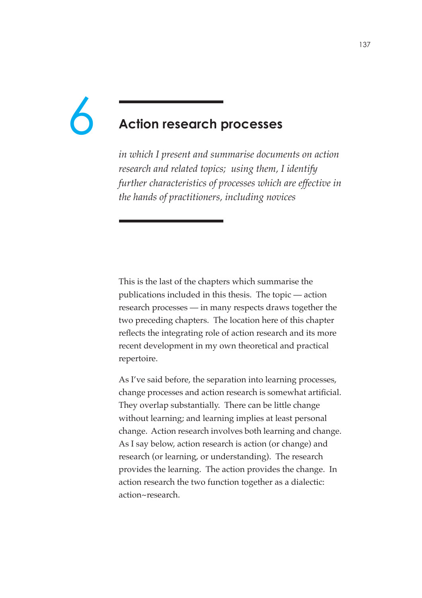# 6

# **Action research processes**

*in which I present and summarise documents on action research and related topics; using them, I identify further characteristics of processes which are effective in the hands of practitioners, including novices*

This is the last of the chapters which summarise the publications included in this thesis. The topic — action research processes — in many respects draws together the two preceding chapters. The location here of this chapter reflects the integrating role of action research and its more recent development in my own theoretical and practical repertoire.

As I've said before, the separation into learning processes, change processes and action research is somewhat artificial. They overlap substantially. There can be little change without learning; and learning implies at least personal change. Action research involves both learning and change. As I say below, action research is action (or change) and research (or learning, or understanding). The research provides the learning. The action provides the change. In action research the two function together as a dialectic: action~research.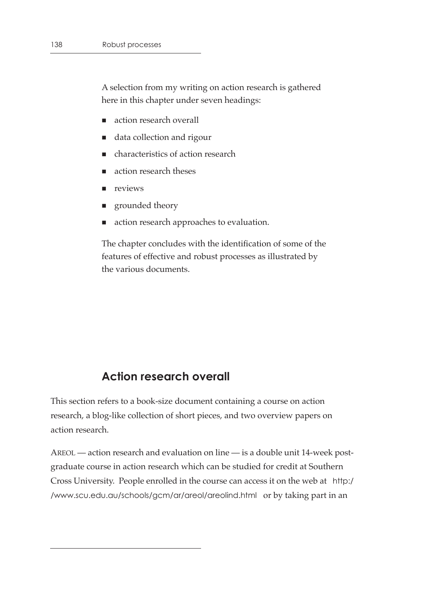A selection from my writing on action research is gathered here in this chapter under seven headings:

- action research overall
- data collection and rigour
- characteristics of action research
- action research theses
- **n** reviews
- **grounded** theory
- action research approaches to evaluation.

The chapter concludes with the identification of some of the features of effective and robust processes as illustrated by the various documents.

# **Action research overall**

This section refers to a book-size document containing a course on action research, a blog-like collection of short pieces, and two overview papers on action research.

AREOL — action research and evaluation on line — is a double unit 14-week postgraduate course in action research which can be studied for credit at Southern Cross University. People enrolled in the course can access it on the web at http:/ /www.scu.edu.au/schools/gcm/ar/areol/areolind.html or by taking part in an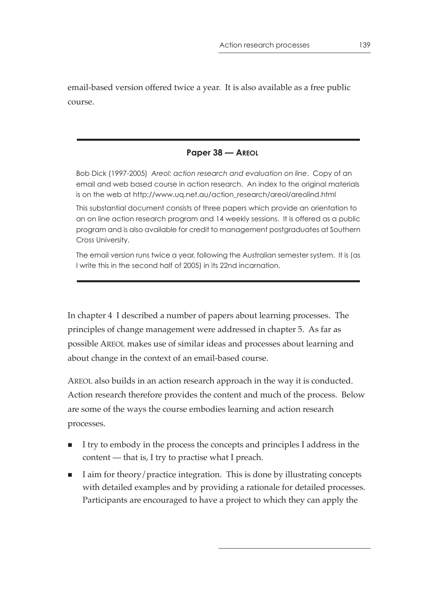email-based version offered twice a year. It is also available as a free public course.

#### **Paper 38 — AREOL**

Bob Dick (1997-2005) *Areol: action research and evaluation on line*. Copy of an email and web based course in action research. An index to the original materials is on the web at http://www.uq.net.au/action\_research/areol/areolind.html

This substantial document consists of three papers which provide an orientation to an on line action research program and 14 weekly sessions. It is offered as a public program and is also available for credit to management postgraduates at Southern Cross University.

The email version runs twice a year, following the Australian semester system. It is (as I write this in the second half of 2005) in its 22nd incarnation.

In chapter 4 I described a number of papers about learning processes. The principles of change management were addressed in chapter 5. As far as possible AREOL makes use of similar ideas and processes about learning and about change in the context of an email-based course.

AREOL also builds in an action research approach in the way it is conducted. Action research therefore provides the content and much of the process. Below are some of the ways the course embodies learning and action research processes.

- I try to embody in the process the concepts and principles I address in the content — that is, I try to practise what I preach.
- I aim for theory/practice integration. This is done by illustrating concepts with detailed examples and by providing a rationale for detailed processes. Participants are encouraged to have a project to which they can apply the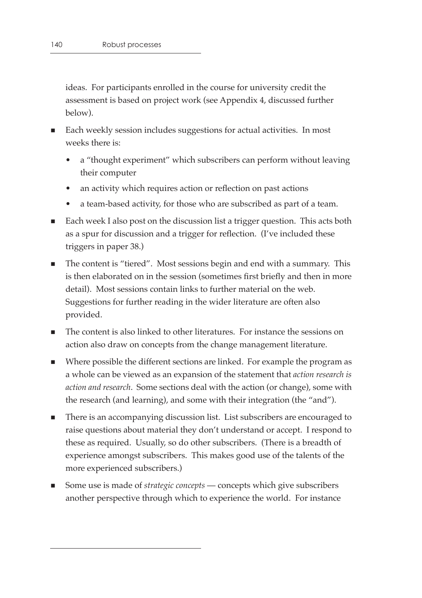ideas. For participants enrolled in the course for university credit the assessment is based on project work (see Appendix 4, discussed further below).

- Each weekly session includes suggestions for actual activities. In most weeks there is:
	- a "thought experiment" which subscribers can perform without leaving their computer
	- an activity which requires action or reflection on past actions
	- a team-based activity, for those who are subscribed as part of a team.
- Each week I also post on the discussion list a trigger question. This acts both as a spur for discussion and a trigger for reflection. (I've included these triggers in paper 38.)
- The content is "tiered". Most sessions begin and end with a summary. This is then elaborated on in the session (sometimes first briefly and then in more detail). Most sessions contain links to further material on the web. Suggestions for further reading in the wider literature are often also provided.
- The content is also linked to other literatures. For instance the sessions on action also draw on concepts from the change management literature.
- Where possible the different sections are linked. For example the program as a whole can be viewed as an expansion of the statement that *action research is action and research*. Some sections deal with the action (or change), some with the research (and learning), and some with their integration (the "and").
- There is an accompanying discussion list. List subscribers are encouraged to raise questions about material they don't understand or accept. I respond to these as required. Usually, so do other subscribers. (There is a breadth of experience amongst subscribers. This makes good use of the talents of the more experienced subscribers.)
- Some use is made of *strategic concepts* concepts which give subscribers another perspective through which to experience the world. For instance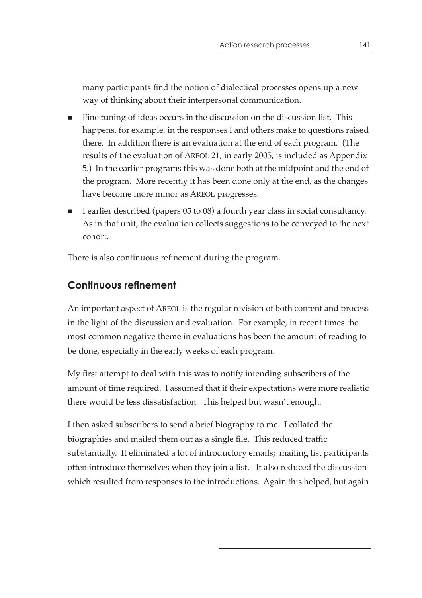many participants find the notion of dialectical processes opens up a new way of thinking about their interpersonal communication.

- Fine tuning of ideas occurs in the discussion on the discussion list. This happens, for example, in the responses I and others make to questions raised there. In addition there is an evaluation at the end of each program. (The results of the evaluation of AREOL 21, in early 2005, is included as Appendix 5.) In the earlier programs this was done both at the midpoint and the end of the program. More recently it has been done only at the end, as the changes have become more minor as AREOL progresses.
- I earlier described (papers 05 to 08) a fourth year class in social consultancy. As in that unit, the evaluation collects suggestions to be conveyed to the next cohort.

There is also continuous refinement during the program.

# **Continuous refinement**

An important aspect of AREOL is the regular revision of both content and process in the light of the discussion and evaluation. For example, in recent times the most common negative theme in evaluations has been the amount of reading to be done, especially in the early weeks of each program.

My first attempt to deal with this was to notify intending subscribers of the amount of time required. I assumed that if their expectations were more realistic there would be less dissatisfaction. This helped but wasn't enough.

I then asked subscribers to send a brief biography to me. I collated the biographies and mailed them out as a single file. This reduced traffic substantially. It eliminated a lot of introductory emails; mailing list participants often introduce themselves when they join a list. It also reduced the discussion which resulted from responses to the introductions. Again this helped, but again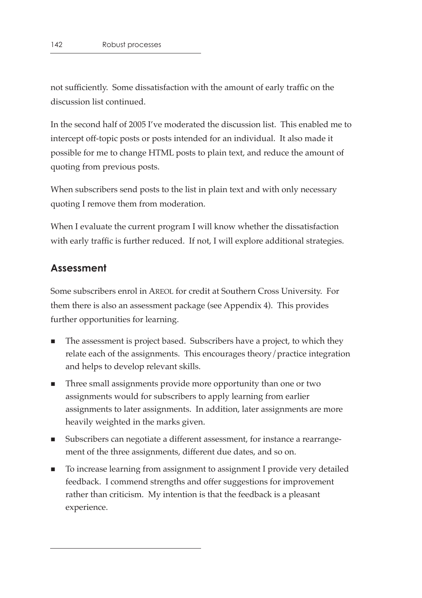not sufficiently. Some dissatisfaction with the amount of early traffic on the discussion list continued.

In the second half of 2005 I've moderated the discussion list. This enabled me to intercept off-topic posts or posts intended for an individual. It also made it possible for me to change HTML posts to plain text, and reduce the amount of quoting from previous posts.

When subscribers send posts to the list in plain text and with only necessary quoting I remove them from moderation.

When I evaluate the current program I will know whether the dissatisfaction with early traffic is further reduced. If not, I will explore additional strategies.

# **Assessment**

Some subscribers enrol in AREOL for credit at Southern Cross University. For them there is also an assessment package (see Appendix 4). This provides further opportunities for learning.

- The assessment is project based. Subscribers have a project, to which they relate each of the assignments. This encourages theory/practice integration and helps to develop relevant skills.
- Three small assignments provide more opportunity than one or two assignments would for subscribers to apply learning from earlier assignments to later assignments. In addition, later assignments are more heavily weighted in the marks given.
- Subscribers can negotiate a different assessment, for instance a rearrangement of the three assignments, different due dates, and so on.
- To increase learning from assignment to assignment I provide very detailed feedback. I commend strengths and offer suggestions for improvement rather than criticism. My intention is that the feedback is a pleasant experience.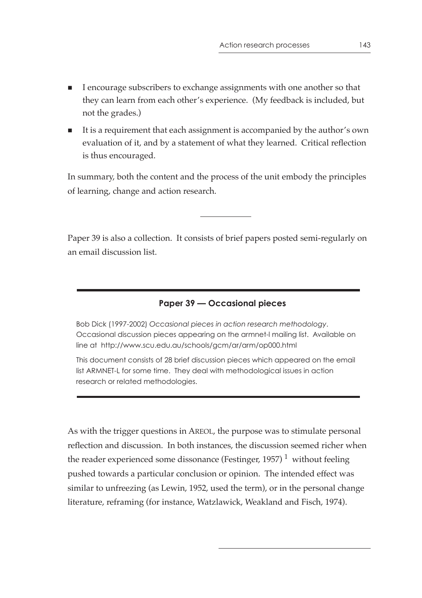- I encourage subscribers to exchange assignments with one another so that they can learn from each other's experience. (My feedback is included, but not the grades.)
- It is a requirement that each assignment is accompanied by the author's own evaluation of it, and by a statement of what they learned. Critical reflection is thus encouraged.

In summary, both the content and the process of the unit embody the principles of learning, change and action research.

Paper 39 is also a collection. It consists of brief papers posted semi-regularly on an email discussion list.

## **Paper 39 — Occasional pieces**

Bob Dick (1997-2002) *Occasional pieces in action research methodology*. Occasional discussion pieces appearing on the armnet-l mailing list. Available on line at http://www.scu.edu.au/schools/gcm/ar/arm/op000.html

This document consists of 28 brief discussion pieces which appeared on the email list ARMNET-L for some time. They deal with methodological issues in action research or related methodologies.

As with the trigger questions in AREOL, the purpose was to stimulate personal reflection and discussion. In both instances, the discussion seemed richer when the reader experienced some dissonance (Festinger, 1957)<sup>1</sup> without feeling pushed towards a particular conclusion or opinion. The intended effect was similar to unfreezing (as Lewin, 1952, used the term), or in the personal change literature, reframing (for instance, Watzlawick, Weakland and Fisch, 1974).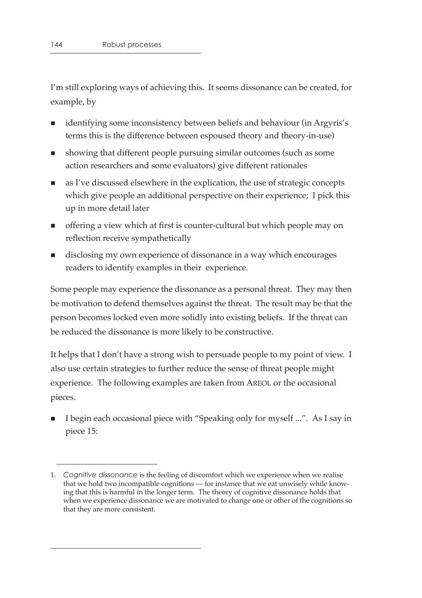I'm still exploring ways of achieving this. It seems dissonance can be created, for example, by

- identifying some inconsistency between beliefs and behaviour (in Argyris's terms this is the difference between espoused theory and theory-in-use)
- showing that different people pursuing similar outcomes (such as some action researchers and some evaluators) give different rationales
- as I've discussed elsewhere in the explication, the use of strategic concepts which give people an additional perspective on their experience; I pick this up in more detail later
- offering a view which at first is counter-cultural but which people may on reflection receive sympathetically
- disclosing my own experience of dissonance in a way which encourages readers to identify examples in their experience.

Some people may experience the dissonance as a personal threat. They may then be motivation to defend themselves against the threat. The result may be that the person becomes locked even more solidly into existing beliefs. If the threat can be reduced the dissonance is more likely to be constructive.

It helps that I don't have a strong wish to persuade people to my point of view. I also use certain strategies to further reduce the sense of threat people might experience. The following examples are taken from AREOL or the occasional pieces.

 I begin each occasional piece with "Speaking only for myself ...". As I say in piece 15:

<sup>1.</sup> *Cognitive dissonance* is the feeling of discomfort which we experience when we realise that we hold two incompatible cognitions — for instance that we eat unwisely while knowing that this is harmful in the longer term. The theory of cognitive dissonance holds that when we experience dissonance we are motivated to change one or other of the cognitions so that they are more consistent.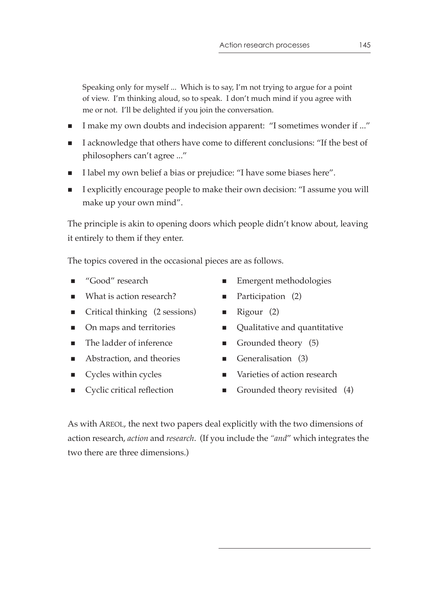Speaking only for myself ... Which is to say, I'm not trying to argue for a point of view. I'm thinking aloud, so to speak. I don't much mind if you agree with me or not. I'll be delighted if you join the conversation.

- I make my own doubts and indecision apparent: "I sometimes wonder if ..."
- I acknowledge that others have come to different conclusions: "If the best of philosophers can't agree ..."
- I label my own belief a bias or prejudice: "I have some biases here".
- I explicitly encourage people to make their own decision: "I assume you will make up your own mind".

The principle is akin to opening doors which people didn't know about, leaving it entirely to them if they enter.

The topics covered in the occasional pieces are as follows.

- 
- What is action research?  $\blacksquare$  Participation (2)
- $\blacksquare$  Critical thinking (2 sessions)  $\blacksquare$  Rigour (2)
- 
- The ladder of inference Grounded theory (5)
- Abstraction, and theories  $\blacksquare$  Generalisation (3)
- 
- 
- "Good" research Emergent methodologies
	-
	-
- On maps and territories Qualitative and quantitative
	-
	-
- Cycles within cycles Varieties of action research
- Cyclic critical reflection Grounded theory revisited (4)

As with AREOL, the next two papers deal explicitly with the two dimensions of action research, *action* and *research*. (If you include the *"and*" which integrates the two there are three dimensions.)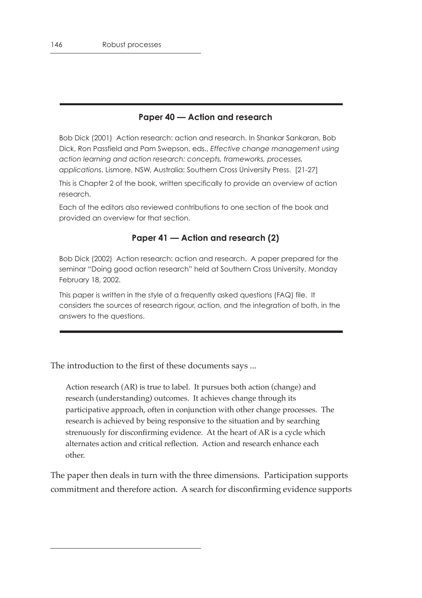#### **Paper 40 — Action and research**

Bob Dick (2001) Action research: action and research. In Shankar Sankaran, Bob Dick, Ron Passfield and Pam Swepson, eds., *Effective change management using action learning and action research: concepts, frameworks, processes, applications*. Lismore, NSW, Australia: Southern Cross University Press. [21-27]

This is Chapter 2 of the book, written specifically to provide an overview of action research.

Each of the editors also reviewed contributions to one section of the book and provided an overview for that section.

#### **Paper 41 — Action and research (2)**

Bob Dick (2002) Action research: action and research. A paper prepared for the seminar "Doing good action research" held at Southern Cross University, Monday February 18, 2002.

This paper is written in the style of a frequently asked questions (FAQ) file. It considers the sources of research rigour, action, and the integration of both, in the answers to the questions.

The introduction to the first of these documents says ...

Action research (AR) is true to label. It pursues both action (change) and research (understanding) outcomes. It achieves change through its participative approach, often in conjunction with other change processes. The research is achieved by being responsive to the situation and by searching strenuously for disconfirming evidence. At the heart of AR is a cycle which alternates action and critical reflection. Action and research enhance each other.

The paper then deals in turn with the three dimensions. Participation supports commitment and therefore action. A search for disconfirming evidence supports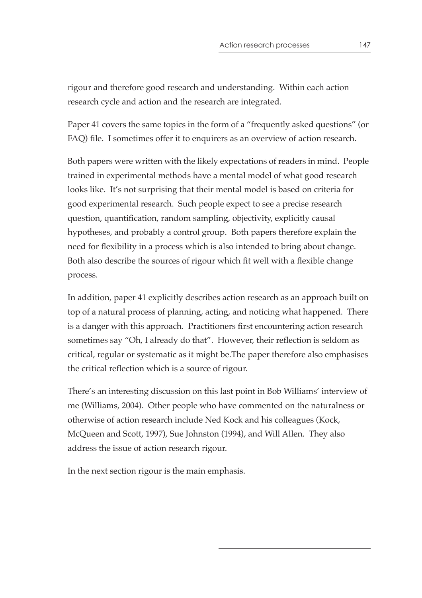rigour and therefore good research and understanding. Within each action research cycle and action and the research are integrated.

Paper 41 covers the same topics in the form of a "frequently asked questions" (or FAQ) file. I sometimes offer it to enquirers as an overview of action research.

Both papers were written with the likely expectations of readers in mind. People trained in experimental methods have a mental model of what good research looks like. It's not surprising that their mental model is based on criteria for good experimental research. Such people expect to see a precise research question, quantification, random sampling, objectivity, explicitly causal hypotheses, and probably a control group. Both papers therefore explain the need for flexibility in a process which is also intended to bring about change. Both also describe the sources of rigour which fit well with a flexible change process.

In addition, paper 41 explicitly describes action research as an approach built on top of a natural process of planning, acting, and noticing what happened. There is a danger with this approach. Practitioners first encountering action research sometimes say "Oh, I already do that". However, their reflection is seldom as critical, regular or systematic as it might be.The paper therefore also emphasises the critical reflection which is a source of rigour.

There's an interesting discussion on this last point in Bob Williams' interview of me (Williams, 2004). Other people who have commented on the naturalness or otherwise of action research include Ned Kock and his colleagues (Kock, McQueen and Scott, 1997), Sue Johnston (1994), and Will Allen. They also address the issue of action research rigour.

In the next section rigour is the main emphasis.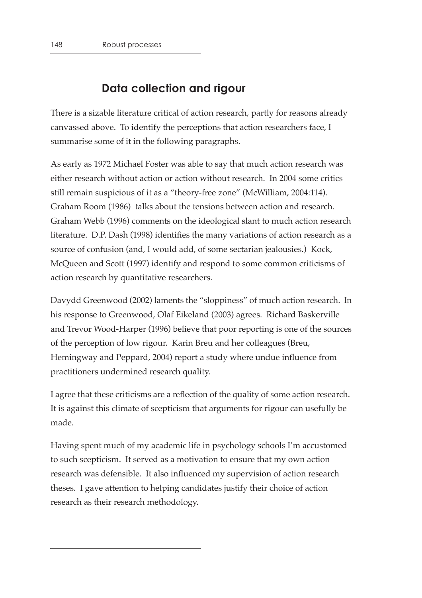# **Data collection and rigour**

There is a sizable literature critical of action research, partly for reasons already canvassed above. To identify the perceptions that action researchers face, I summarise some of it in the following paragraphs.

As early as 1972 Michael Foster was able to say that much action research was either research without action or action without research. In 2004 some critics still remain suspicious of it as a "theory-free zone" (McWilliam, 2004:114). Graham Room (1986) talks about the tensions between action and research. Graham Webb (1996) comments on the ideological slant to much action research literature. D.P. Dash (1998) identifies the many variations of action research as a source of confusion (and, I would add, of some sectarian jealousies.) Kock, McQueen and Scott (1997) identify and respond to some common criticisms of action research by quantitative researchers.

Davydd Greenwood (2002) laments the "sloppiness" of much action research. In his response to Greenwood, Olaf Eikeland (2003) agrees. Richard Baskerville and Trevor Wood-Harper (1996) believe that poor reporting is one of the sources of the perception of low rigour. Karin Breu and her colleagues (Breu, Hemingway and Peppard, 2004) report a study where undue influence from practitioners undermined research quality.

I agree that these criticisms are a reflection of the quality of some action research. It is against this climate of scepticism that arguments for rigour can usefully be made.

Having spent much of my academic life in psychology schools I'm accustomed to such scepticism. It served as a motivation to ensure that my own action research was defensible. It also influenced my supervision of action research theses. I gave attention to helping candidates justify their choice of action research as their research methodology.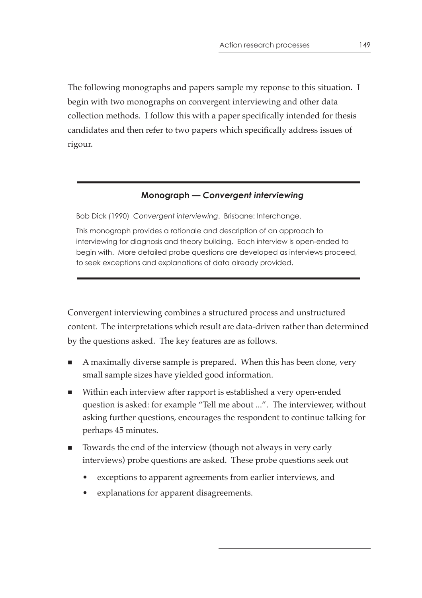The following monographs and papers sample my reponse to this situation. I begin with two monographs on convergent interviewing and other data collection methods. I follow this with a paper specifically intended for thesis candidates and then refer to two papers which specifically address issues of rigour.

## **Monograph —** *Convergent interviewing*

Bob Dick (1990) *Convergent interviewing*. Brisbane: Interchange.

This monograph provides a rationale and description of an approach to interviewing for diagnosis and theory building. Each interview is open-ended to begin with. More detailed probe questions are developed as interviews proceed, to seek exceptions and explanations of data already provided.

Convergent interviewing combines a structured process and unstructured content. The interpretations which result are data-driven rather than determined by the questions asked. The key features are as follows.

- A maximally diverse sample is prepared. When this has been done, very small sample sizes have yielded good information.
- Within each interview after rapport is established a very open-ended question is asked: for example "Tell me about ...". The interviewer, without asking further questions, encourages the respondent to continue talking for perhaps 45 minutes.
- Towards the end of the interview (though not always in very early interviews) probe questions are asked. These probe questions seek out
	- exceptions to apparent agreements from earlier interviews, and
	- explanations for apparent disagreements.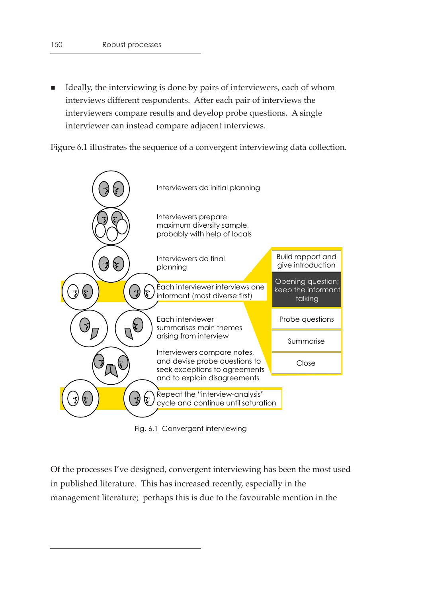■ Ideally, the interviewing is done by pairs of interviewers, each of whom interviews different respondents. After each pair of interviews the interviewers compare results and develop probe questions. A single interviewer can instead compare adjacent interviews.

Figure 6.1 illustrates the sequence of a convergent interviewing data collection.



Fig. 6.1 Convergent interviewing

Of the processes I've designed, convergent interviewing has been the most used in published literature. This has increased recently, especially in the management literature; perhaps this is due to the favourable mention in the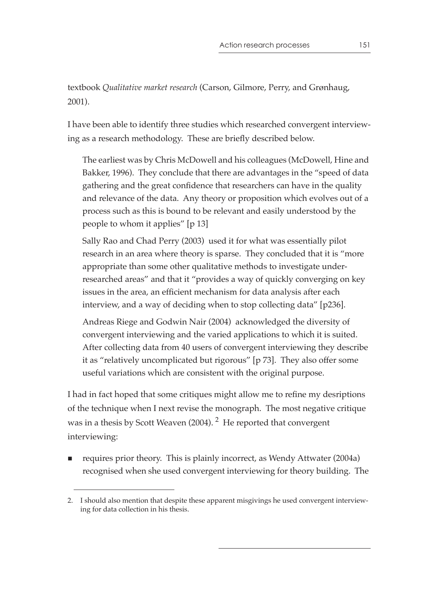textbook *Qualitative market research* (Carson, Gilmore, Perry, and Grønhaug, 2001).

I have been able to identify three studies which researched convergent interviewing as a research methodology. These are briefly described below.

The earliest was by Chris McDowell and his colleagues (McDowell, Hine and Bakker, 1996). They conclude that there are advantages in the "speed of data gathering and the great confidence that researchers can have in the quality and relevance of the data. Any theory or proposition which evolves out of a process such as this is bound to be relevant and easily understood by the people to whom it applies" [p 13]

Sally Rao and Chad Perry (2003) used it for what was essentially pilot research in an area where theory is sparse. They concluded that it is "more appropriate than some other qualitative methods to investigate underresearched areas" and that it "provides a way of quickly converging on key issues in the area, an efficient mechanism for data analysis after each interview, and a way of deciding when to stop collecting data" [p236].

Andreas Riege and Godwin Nair (2004) acknowledged the diversity of convergent interviewing and the varied applications to which it is suited. After collecting data from 40 users of convergent interviewing they describe it as "relatively uncomplicated but rigorous" [p 73]. They also offer some useful variations which are consistent with the original purpose.

I had in fact hoped that some critiques might allow me to refine my desriptions of the technique when I next revise the monograph. The most negative critique was in a thesis by Scott Weaven (2004). <sup>2</sup> He reported that convergent interviewing:

■ requires prior theory. This is plainly incorrect, as Wendy Attwater (2004a) recognised when she used convergent interviewing for theory building. The

<sup>2.</sup> I should also mention that despite these apparent misgivings he used convergent interviewing for data collection in his thesis.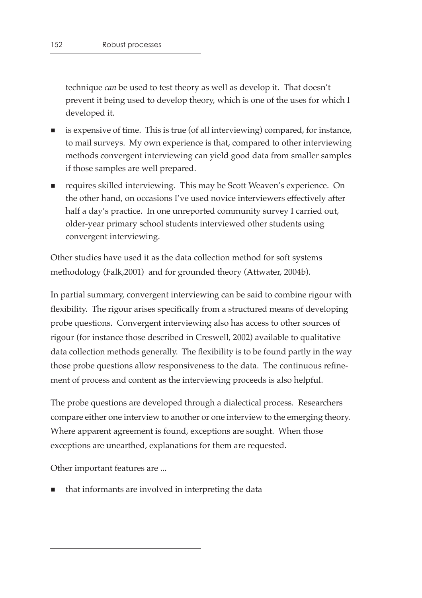technique *can* be used to test theory as well as develop it. That doesn't prevent it being used to develop theory, which is one of the uses for which I developed it.

- is expensive of time. This is true (of all interviewing) compared, for instance, to mail surveys. My own experience is that, compared to other interviewing methods convergent interviewing can yield good data from smaller samples if those samples are well prepared.
- requires skilled interviewing. This may be Scott Weaven's experience. On the other hand, on occasions I've used novice interviewers effectively after half a day's practice. In one unreported community survey I carried out, older-year primary school students interviewed other students using convergent interviewing.

Other studies have used it as the data collection method for soft systems methodology (Falk,2001) and for grounded theory (Attwater, 2004b).

In partial summary, convergent interviewing can be said to combine rigour with flexibility. The rigour arises specifically from a structured means of developing probe questions. Convergent interviewing also has access to other sources of rigour (for instance those described in Creswell, 2002) available to qualitative data collection methods generally. The flexibility is to be found partly in the way those probe questions allow responsiveness to the data. The continuous refinement of process and content as the interviewing proceeds is also helpful.

The probe questions are developed through a dialectical process. Researchers compare either one interview to another or one interview to the emerging theory. Where apparent agreement is found, exceptions are sought. When those exceptions are unearthed, explanations for them are requested.

Other important features are ...

that informants are involved in interpreting the data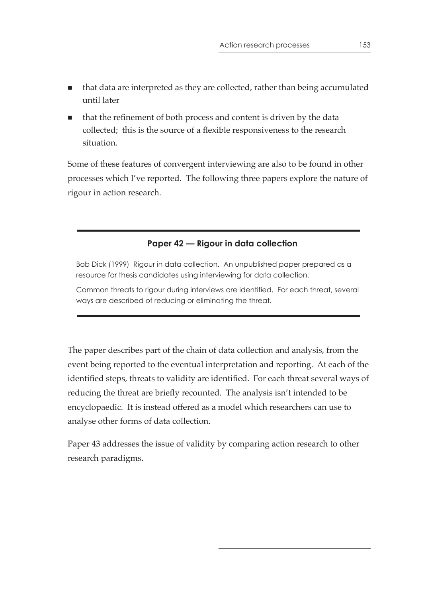- that data are interpreted as they are collected, rather than being accumulated until later
- that the refinement of both process and content is driven by the data collected; this is the source of a flexible responsiveness to the research situation.

Some of these features of convergent interviewing are also to be found in other processes which I've reported. The following three papers explore the nature of rigour in action research.

## **Paper 42 — Rigour in data collection**

Bob Dick (1999) Rigour in data collection. An unpublished paper prepared as a resource for thesis candidates using interviewing for data collection.

Common threats to rigour during interviews are identified. For each threat, several ways are described of reducing or eliminating the threat.

The paper describes part of the chain of data collection and analysis, from the event being reported to the eventual interpretation and reporting. At each of the identified steps, threats to validity are identified. For each threat several ways of reducing the threat are briefly recounted. The analysis isn't intended to be encyclopaedic. It is instead offered as a model which researchers can use to analyse other forms of data collection.

Paper 43 addresses the issue of validity by comparing action research to other research paradigms.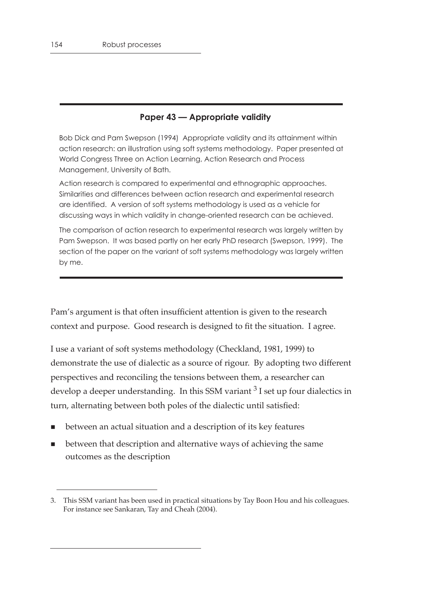## **Paper 43 — Appropriate validity**

Bob Dick and Pam Swepson (1994) Appropriate validity and its attainment within action research: an illustration using soft systems methodology. Paper presented at World Congress Three on Action Learning, Action Research and Process Management, University of Bath.

Action research is compared to experimental and ethnographic approaches. Similarities and differences between action research and experimental research are identified. A version of soft systems methodology is used as a vehicle for discussing ways in which validity in change-oriented research can be achieved.

The comparison of action research to experimental research was largely written by Pam Swepson. It was based partly on her early PhD research (Swepson, 1999). The section of the paper on the variant of soft systems methodology was largely written by me.

Pam's argument is that often insufficient attention is given to the research context and purpose. Good research is designed to fit the situation. I agree.

I use a variant of soft systems methodology (Checkland, 1981, 1999) to demonstrate the use of dialectic as a source of rigour. By adopting two different perspectives and reconciling the tensions between them, a researcher can develop a deeper understanding. In this SSM variant  $3$  I set up four dialectics in turn, alternating between both poles of the dialectic until satisfied:

- between an actual situation and a description of its key features
- between that description and alternative ways of achieving the same outcomes as the description

<sup>3.</sup> This SSM variant has been used in practical situations by Tay Boon Hou and his colleagues. For instance see Sankaran, Tay and Cheah (2004).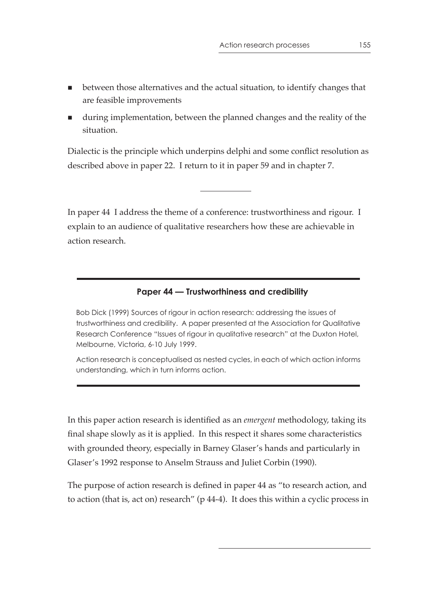- **Detween those alternatives and the actual situation, to identify changes that** are feasible improvements
- during implementation, between the planned changes and the reality of the situation.

Dialectic is the principle which underpins delphi and some conflict resolution as described above in paper 22. I return to it in paper 59 and in chapter 7.

In paper 44 I address the theme of a conference: trustworthiness and rigour. I explain to an audience of qualitative researchers how these are achievable in action research.

#### **Paper 44 — Trustworthiness and credibility**

Bob Dick (1999) Sources of rigour in action research: addressing the issues of trustworthiness and credibility. A paper presented at the Association for Qualitative Research Conference "Issues of rigour in qualitative research" at the Duxton Hotel, Melbourne, Victoria, 6-10 July 1999.

Action research is conceptualised as nested cycles, in each of which action informs understanding, which in turn informs action.

In this paper action research is identified as an *emergent* methodology, taking its final shape slowly as it is applied. In this respect it shares some characteristics with grounded theory, especially in Barney Glaser's hands and particularly in Glaser's 1992 response to Anselm Strauss and Juliet Corbin (1990).

The purpose of action research is defined in paper 44 as "to research action, and to action (that is, act on) research" (p 44-4). It does this within a cyclic process in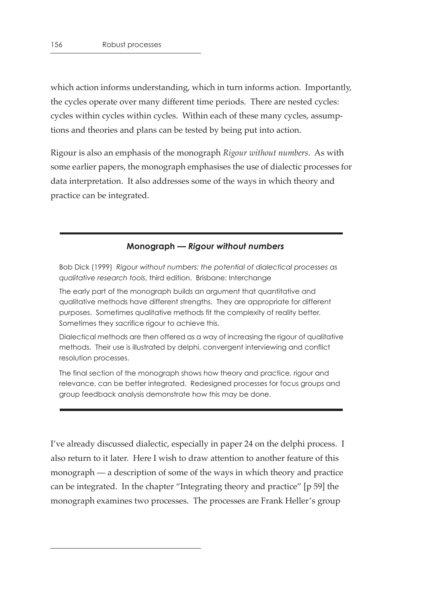which action informs understanding, which in turn informs action. Importantly, the cycles operate over many different time periods. There are nested cycles: cycles within cycles within cycles. Within each of these many cycles, assumptions and theories and plans can be tested by being put into action.

Rigour is also an emphasis of the monograph *Rigour without numbers*. As with some earlier papers, the monograph emphasises the use of dialectic processes for data interpretation. It also addresses some of the ways in which theory and practice can be integrated.

#### **Monograph —** *Rigour without numbers*

Bob Dick (1999) *Rigour without numbers: the potential of dialectical processes as qualitative research tools*, third edition. Brisbane: Interchange

The early part of the monograph builds an argument that quantitative and qualitative methods have different strengths. They are appropriate for different purposes. Sometimes qualitative methods fit the complexity of reality better. Sometimes they sacrifice rigour to achieve this.

Dialectical methods are then offered as a way of increasing the rigour of qualitative methods. Their use is illustrated by delphi, convergent interviewing and conflict resolution processes.

The final section of the monograph shows how theory and practice, rigour and relevance, can be better integrated. Redesigned processes for focus groups and group feedback analysis demonstrate how this may be done.

I've already discussed dialectic, especially in paper 24 on the delphi process. I also return to it later. Here I wish to draw attention to another feature of this monograph — a description of some of the ways in which theory and practice can be integrated. In the chapter "Integrating theory and practice" [p 59] the monograph examines two processes. The processes are Frank Heller's group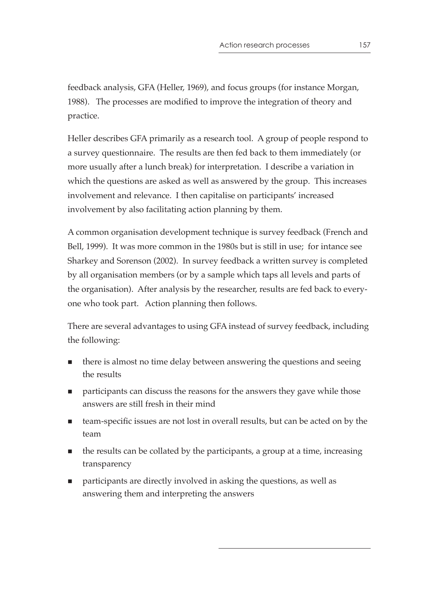feedback analysis, GFA (Heller, 1969), and focus groups (for instance Morgan, 1988). The processes are modified to improve the integration of theory and practice.

Heller describes GFA primarily as a research tool. A group of people respond to a survey questionnaire. The results are then fed back to them immediately (or more usually after a lunch break) for interpretation. I describe a variation in which the questions are asked as well as answered by the group. This increases involvement and relevance. I then capitalise on participants' increased involvement by also facilitating action planning by them.

A common organisation development technique is survey feedback (French and Bell, 1999). It was more common in the 1980s but is still in use; for intance see Sharkey and Sorenson (2002). In survey feedback a written survey is completed by all organisation members (or by a sample which taps all levels and parts of the organisation). After analysis by the researcher, results are fed back to everyone who took part. Action planning then follows.

There are several advantages to using GFA instead of survey feedback, including the following:

- there is almost no time delay between answering the questions and seeing the results
- **Participants can discuss the reasons for the answers they gave while those** answers are still fresh in their mind
- team-specific issues are not lost in overall results, but can be acted on by the team
- $\blacksquare$  the results can be collated by the participants, a group at a time, increasing transparency
- participants are directly involved in asking the questions, as well as answering them and interpreting the answers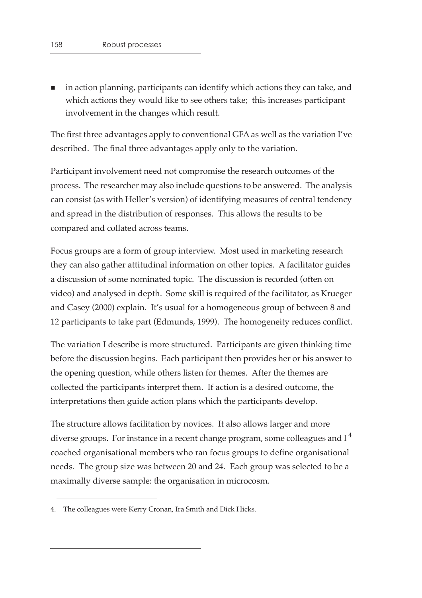in action planning, participants can identify which actions they can take, and which actions they would like to see others take; this increases participant involvement in the changes which result.

The first three advantages apply to conventional GFA as well as the variation I've described. The final three advantages apply only to the variation.

Participant involvement need not compromise the research outcomes of the process. The researcher may also include questions to be answered. The analysis can consist (as with Heller's version) of identifying measures of central tendency and spread in the distribution of responses. This allows the results to be compared and collated across teams.

Focus groups are a form of group interview. Most used in marketing research they can also gather attitudinal information on other topics. A facilitator guides a discussion of some nominated topic. The discussion is recorded (often on video) and analysed in depth. Some skill is required of the facilitator, as Krueger and Casey (2000) explain. It's usual for a homogeneous group of between 8 and 12 participants to take part (Edmunds, 1999). The homogeneity reduces conflict.

The variation I describe is more structured. Participants are given thinking time before the discussion begins. Each participant then provides her or his answer to the opening question, while others listen for themes. After the themes are collected the participants interpret them. If action is a desired outcome, the interpretations then guide action plans which the participants develop.

The structure allows facilitation by novices. It also allows larger and more diverse groups. For instance in a recent change program, some colleagues and  $I<sup>4</sup>$ coached organisational members who ran focus groups to define organisational needs. The group size was between 20 and 24. Each group was selected to be a maximally diverse sample: the organisation in microcosm.

<sup>4.</sup> The colleagues were Kerry Cronan, Ira Smith and Dick Hicks.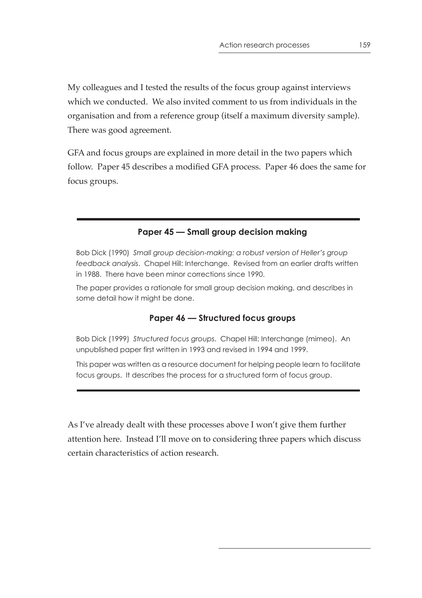My colleagues and I tested the results of the focus group against interviews which we conducted. We also invited comment to us from individuals in the organisation and from a reference group (itself a maximum diversity sample). There was good agreement.

GFA and focus groups are explained in more detail in the two papers which follow. Paper 45 describes a modified GFA process. Paper 46 does the same for focus groups.

## **Paper 45 — Small group decision making**

Bob Dick (1990) *Small group decision-making: a robust version of Heller's group feedback analysis*. Chapel Hill: Interchange. Revised from an earlier drafts written in 1988. There have been minor corrections since 1990.

The paper provides a rationale for small group decision making, and describes in some detail how it might be done.

## **Paper 46 — Structured focus groups**

Bob Dick (1999) *Structured focus groups*. Chapel Hill: Interchange (mimeo). An unpublished paper first written in 1993 and revised in 1994 and 1999.

This paper was written as a resource document for helping people learn to facilitate focus groups. It describes the process for a structured form of focus group.

As I've already dealt with these processes above I won't give them further attention here. Instead I'll move on to considering three papers which discuss certain characteristics of action research.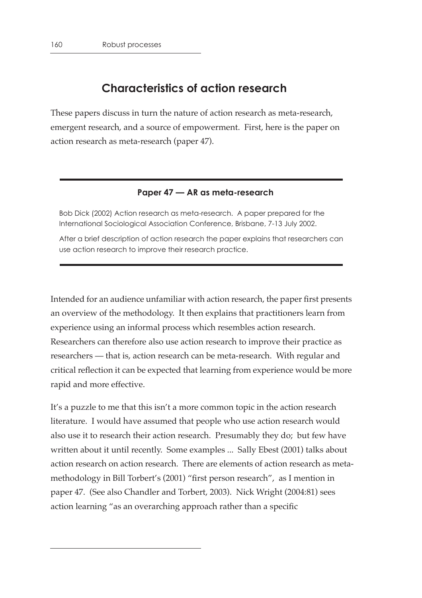# **Characteristics of action research**

These papers discuss in turn the nature of action research as meta-research, emergent research, and a source of empowerment. First, here is the paper on action research as meta-research (paper 47).

#### **Paper 47 — AR as meta-research**

Bob Dick (2002) Action research as meta-research. A paper prepared for the International Sociological Association Conference, Brisbane, 7-13 July 2002.

After a brief description of action research the paper explains that researchers can use action research to improve their research practice.

Intended for an audience unfamiliar with action research, the paper first presents an overview of the methodology. It then explains that practitioners learn from experience using an informal process which resembles action research. Researchers can therefore also use action research to improve their practice as researchers — that is, action research can be meta-research. With regular and critical reflection it can be expected that learning from experience would be more rapid and more effective.

It's a puzzle to me that this isn't a more common topic in the action research literature. I would have assumed that people who use action research would also use it to research their action research. Presumably they do; but few have written about it until recently. Some examples ... Sally Ebest (2001) talks about action research on action research. There are elements of action research as metamethodology in Bill Torbert's (2001) "first person research", as I mention in paper 47. (See also Chandler and Torbert, 2003). Nick Wright (2004:81) sees action learning "as an overarching approach rather than a specific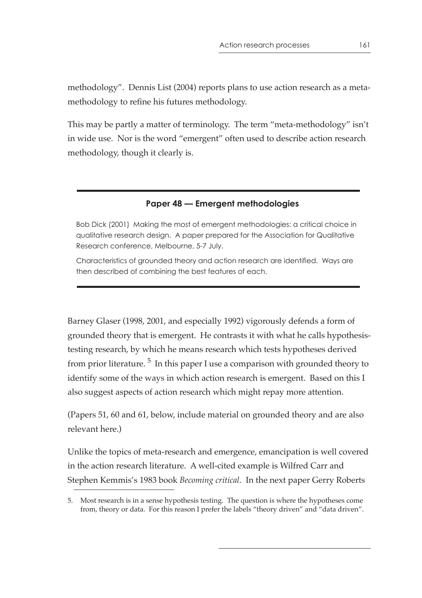methodology". Dennis List (2004) reports plans to use action research as a metamethodology to refine his futures methodology.

This may be partly a matter of terminology. The term "meta-methodology" isn't in wide use. Nor is the word "emergent" often used to describe action research methodology, though it clearly is.

## **Paper 48 — Emergent methodologies**

Bob Dick (2001) Making the most of emergent methodologies: a critical choice in qualitative research design. A paper prepared for the Association for Qualitative Research conference, Melbourne, 5-7 July.

Characteristics of grounded theory and action research are identified. Ways are then described of combining the best features of each.

Barney Glaser (1998, 2001, and especially 1992) vigorously defends a form of grounded theory that is emergent. He contrasts it with what he calls hypothesistesting research, by which he means research which tests hypotheses derived from prior literature.<sup>5</sup> In this paper I use a comparison with grounded theory to identify some of the ways in which action research is emergent. Based on this I also suggest aspects of action research which might repay more attention.

(Papers 51, 60 and 61, below, include material on grounded theory and are also relevant here.)

Unlike the topics of meta-research and emergence, emancipation is well covered in the action research literature. A well-cited example is Wilfred Carr and Stephen Kemmis's 1983 book *Becoming critical*. In the next paper Gerry Roberts

<sup>5.</sup> Most research is in a sense hypothesis testing. The question is where the hypotheses come from, theory or data. For this reason I prefer the labels "theory driven" and "data driven".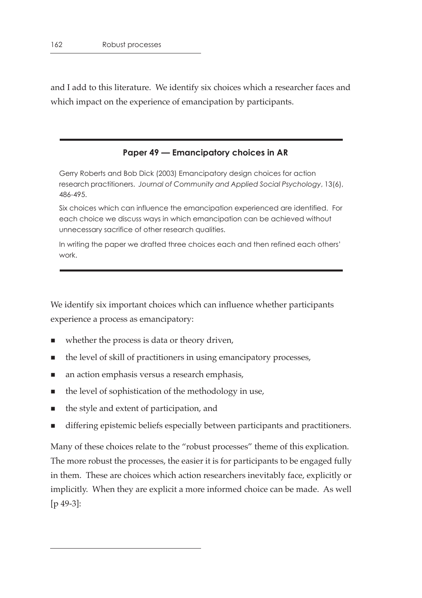and I add to this literature. We identify six choices which a researcher faces and which impact on the experience of emancipation by participants.

#### **Paper 49 — Emancipatory choices in AR**

Gerry Roberts and Bob Dick (2003) Emancipatory design choices for action research practitioners. *Journal of Community and Applied Social Psychology*, 13(6), 486-495.

Six choices which can influence the emancipation experienced are identified. For each choice we discuss ways in which emancipation can be achieved without unnecessary sacrifice of other research qualities.

In writing the paper we drafted three choices each and then refined each others' work.

We identify six important choices which can influence whether participants experience a process as emancipatory:

- whether the process is data or theory driven,
- $\blacksquare$  the level of skill of practitioners in using emancipatory processes,
- **n** an action emphasis versus a research emphasis,
- $\blacksquare$  the level of sophistication of the methodology in use,
- the style and extent of participation, and
- differing epistemic beliefs especially between participants and practitioners.

Many of these choices relate to the "robust processes" theme of this explication. The more robust the processes, the easier it is for participants to be engaged fully in them. These are choices which action researchers inevitably face, explicitly or implicitly. When they are explicit a more informed choice can be made. As well [p 49-3]: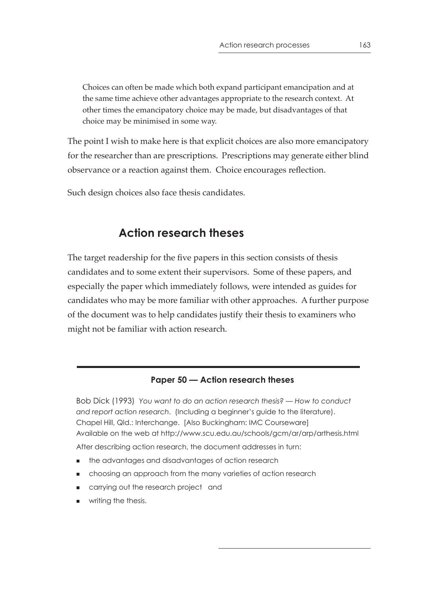Choices can often be made which both expand participant emancipation and at the same time achieve other advantages appropriate to the research context. At other times the emancipatory choice may be made, but disadvantages of that choice may be minimised in some way.

The point I wish to make here is that explicit choices are also more emancipatory for the researcher than are prescriptions. Prescriptions may generate either blind observance or a reaction against them. Choice encourages reflection.

Such design choices also face thesis candidates.

# **Action research theses**

The target readership for the five papers in this section consists of thesis candidates and to some extent their supervisors. Some of these papers, and especially the paper which immediately follows, were intended as guides for candidates who may be more familiar with other approaches. A further purpose of the document was to help candidates justify their thesis to examiners who might not be familiar with action research.

## **Paper 50 — Action research theses**

Bob Dick (1993) *You want to do an action research thesis? — How to conduct and report action research*. (Including a beginner's guide to the literature). Chapel Hill, Qld.: Interchange. [Also Buckingham: IMC Courseware] Available on the web at http://www.scu.edu.au/schools/gcm/ar/arp/arthesis.html After describing action research, the document addresses in turn:

- the advantages and disadvantages of action research
- choosing an approach from the many varieties of action research
- carrying out the research project and
- **writing the thesis.**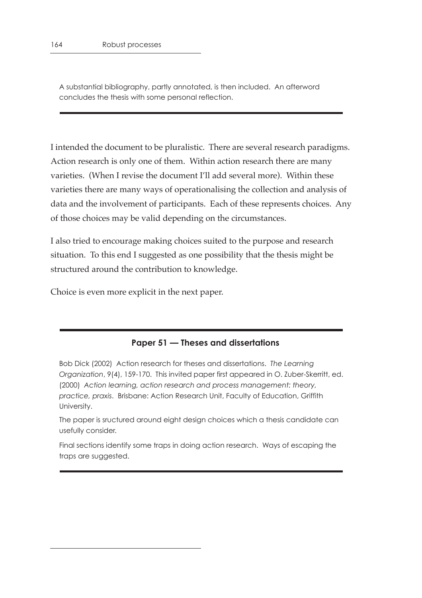A substantial bibliography, partly annotated, is then included. An afterword concludes the thesis with some personal reflection.

I intended the document to be pluralistic. There are several research paradigms. Action research is only one of them. Within action research there are many varieties. (When I revise the document I'll add several more). Within these varieties there are many ways of operationalising the collection and analysis of data and the involvement of participants. Each of these represents choices. Any of those choices may be valid depending on the circumstances.

I also tried to encourage making choices suited to the purpose and research situation. To this end I suggested as one possibility that the thesis might be structured around the contribution to knowledge.

Choice is even more explicit in the next paper.

#### **Paper 51 — Theses and dissertations**

Bob Dick (2002) Action research for theses and dissertations. *The Learning Organization*, 9(4), 159-170. This invited paper first appeared in O. Zuber-Skerritt, ed. (2000) *Action learning, action research and process management: theory, practice, praxis*. Brisbane: Action Research Unit, Faculty of Education, Griffith University.

The paper is sructured around eight design choices which a thesis candidate can usefully consider.

Final sections identify some traps in doing action research. Ways of escaping the traps are suggested.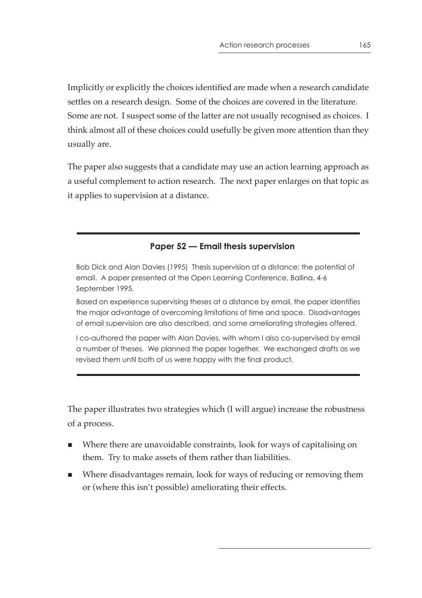Implicitly or explicitly the choices identified are made when a research candidate settles on a research design. Some of the choices are covered in the literature. Some are not. I suspect some of the latter are not usually recognised as choices. I think almost all of these choices could usefully be given more attention than they usually are.

The paper also suggests that a candidate may use an action learning approach as a useful complement to action research. The next paper enlarges on that topic as it applies to supervision at a distance.

## **Paper 52 — Email thesis supervision**

Bob Dick and Alan Davies (1995) Thesis supervision at a distance: the potential of email. A paper presented at the Open Learning Conference, Ballina, 4-6 September 1995.

Based on experience supervising theses at a distance by email, the paper identifies the major advantage of overcoming limitations of time and space. Disadvantages of email supervision are also described, and some ameliorating strategies offered.

I co-authored the paper with Alan Davies, with whom I also co-supervised by email a number of theses. We planned the paper together. We exchanged drafts as we revised them until both of us were happy with the final product.

The paper illustrates two strategies which (I will argue) increase the robustness of a process.

- Where there are unavoidable constraints, look for ways of capitalising on them. Try to make assets of them rather than liabilities.
- Where disadvantages remain, look for ways of reducing or removing them or (where this isn't possible) ameliorating their effects.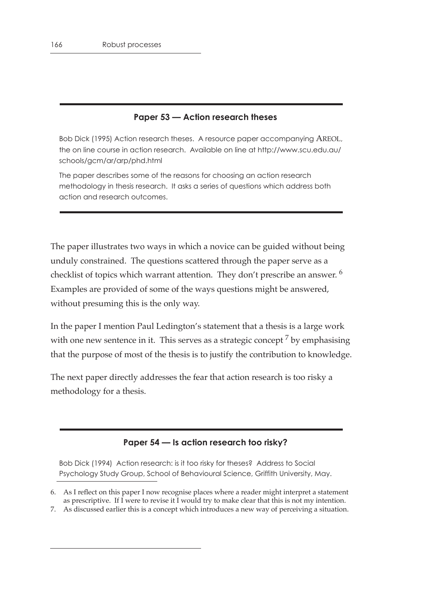## **Paper 53 — Action research theses**

Bob Dick (1995) Action research theses. A resource paper accompanying AREOL, the on line course in action research. Available on line at http://www.scu.edu.au/ schools/gcm/ar/arp/phd.html

The paper describes some of the reasons for choosing an action research methodology in thesis research. It asks a series of questions which address both action and research outcomes.

The paper illustrates two ways in which a novice can be guided without being unduly constrained. The questions scattered through the paper serve as a checklist of topics which warrant attention. They don't prescribe an answer.<sup>6</sup> Examples are provided of some of the ways questions might be answered, without presuming this is the only way.

In the paper I mention Paul Ledington's statement that a thesis is a large work with one new sentence in it. This serves as a strategic concept<sup>7</sup> by emphasising that the purpose of most of the thesis is to justify the contribution to knowledge.

The next paper directly addresses the fear that action research is too risky a methodology for a thesis.

## **Paper 54 — Is action research too risky?**

Bob Dick (1994) Action research: is it too risky for theses? Address to Social Psychology Study Group, School of Behavioural Science, Griffith University, May.

<sup>6.</sup> As I reflect on this paper I now recognise places where a reader might interpret a statement as prescriptive. If I were to revise it I would try to make clear that this is not my intention.

<sup>7.</sup> As discussed earlier this is a concept which introduces a new way of perceiving a situation.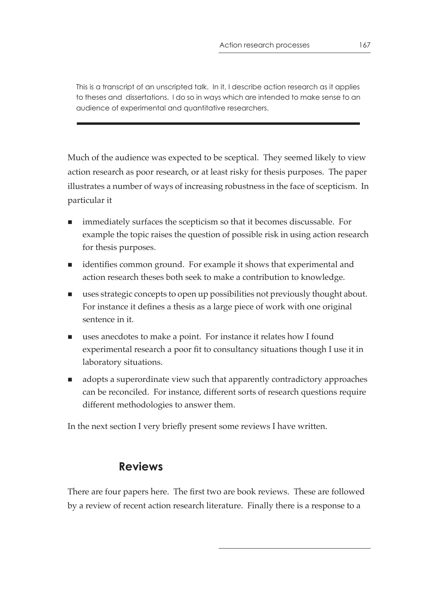This is a transcript of an unscripted talk. In it, I describe action research as it applies to theses and dissertations. I do so in ways which are intended to make sense to an audience of experimental and quantitative researchers.

Much of the audience was expected to be sceptical. They seemed likely to view action research as poor research, or at least risky for thesis purposes. The paper illustrates a number of ways of increasing robustness in the face of scepticism. In particular it

- immediately surfaces the scepticism so that it becomes discussable. For example the topic raises the question of possible risk in using action research for thesis purposes.
- identifies common ground. For example it shows that experimental and action research theses both seek to make a contribution to knowledge.
- uses strategic concepts to open up possibilities not previously thought about. For instance it defines a thesis as a large piece of work with one original sentence in it.
- uses anecdotes to make a point. For instance it relates how I found experimental research a poor fit to consultancy situations though I use it in laboratory situations.
- **a** adopts a superordinate view such that apparently contradictory approaches can be reconciled. For instance, different sorts of research questions require different methodologies to answer them.

In the next section I very briefly present some reviews I have written.

# **Reviews**

There are four papers here. The first two are book reviews. These are followed by a review of recent action research literature. Finally there is a response to a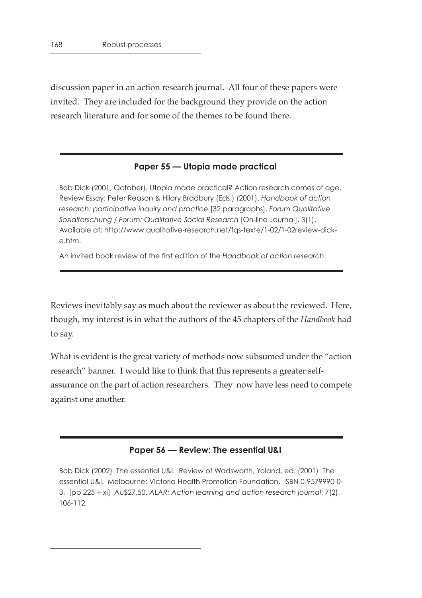discussion paper in an action research journal. All four of these papers were invited. They are included for the background they provide on the action research literature and for some of the themes to be found there.

#### **Paper 55 — Utopia made practical**

Bob Dick (2001, October). Utopia made practical? Action research comes of age. Review Essay: Peter Reason & Hilary Bradbury (Eds.) (2001). *Handbook of action research: participative inquiry and practice* [32 paragraphs]. *Forum Qualitative Sozialforschung / Forum: Qualitative Social Research* [On-line Journal], 3(1). Available at: http://www.qualitative-research.net/fqs-texte/1-02/1-02review-dicke.htm.

An invited book review of the first edition of the *Handbook of action research*.

Reviews inevitably say as much about the reviewer as about the reviewed. Here, though, my interest is in what the authors of the 45 chapters of the *Handbook* had to say.

What is evident is the great variety of methods now subsumed under the "action research" banner. I would like to think that this represents a greater selfassurance on the part of action researchers. They now have less need to compete against one another.

#### **Paper 56 — Review: The essential U&I**

Bob Dick (2002) The essential U&I. Review of Wadsworth, Yoland, ed. (2001) The essential U&I. Melbourne: Victoria Health Promotion Foundation. ISBN 0-9579990-0- 3. [pp 225 + xi] Au\$27.50. *ALAR: Action learning and action research journal*, 7(2), 106-112.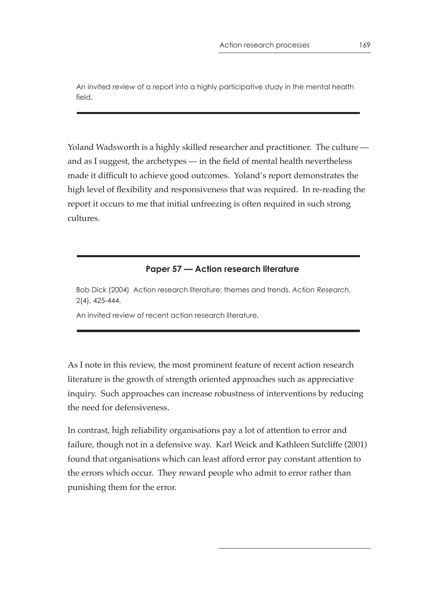An invited review of a report into a highly participative study in the mental health field.

Yoland Wadsworth is a highly skilled researcher and practitioner. The culture and as I suggest, the archetypes — in the field of mental health nevertheless made it difficult to achieve good outcomes. Yoland's report demonstrates the high level of flexibility and responsiveness that was required. In re-reading the report it occurs to me that initial unfreezing is often required in such strong cultures.

#### **Paper 57 — Action research literature**

Bob Dick (2004) Action research literature: themes and trends. *Action Research*, 2(4), 425-444.

An invited review of recent action research literature.

As I note in this review, the most prominent feature of recent action research literature is the growth of strength oriented approaches such as appreciative inquiry. Such approaches can increase robustness of interventions by reducing the need for defensiveness.

In contrast, high reliability organisations pay a lot of attention to error and failure, though not in a defensive way. Karl Weick and Kathleen Sutcliffe (2001) found that organisations which can least afford error pay constant attention to the errors which occur. They reward people who admit to error rather than punishing them for the error.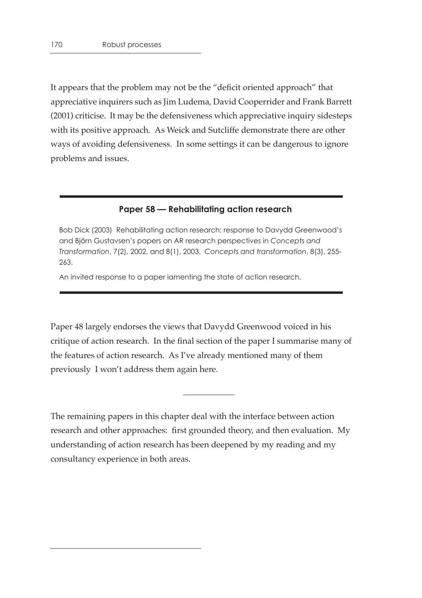It appears that the problem may not be the "deficit oriented approach" that appreciative inquirers such as Jim Ludema, David Cooperrider and Frank Barrett (2001) criticise. It may be the defensiveness which appreciative inquiry sidesteps with its positive approach. As Weick and Sutcliffe demonstrate there are other ways of avoiding defensiveness. In some settings it can be dangerous to ignore problems and issues.

#### **Paper 58 — Rehabilitating action research**

Bob Dick (2003) Rehabilitating action research: response to Davydd Greenwood's and Björn Gustavsen's papers on AR research perspectives in *Concepts and Transformation*, 7(2), 2002, and 8(1), 2003. *Concepts and transformation*, 8(3), 255- 263.

An invited response to a paper lamenting the state of action research.

Paper 48 largely endorses the views that Davydd Greenwood voiced in his critique of action research. In the final section of the paper I summarise many of the features of action research. As I've already mentioned many of them previously I won't address them again here.

The remaining papers in this chapter deal with the interface between action research and other approaches: first grounded theory, and then evaluation. My understanding of action research has been deepened by my reading and my consultancy experience in both areas.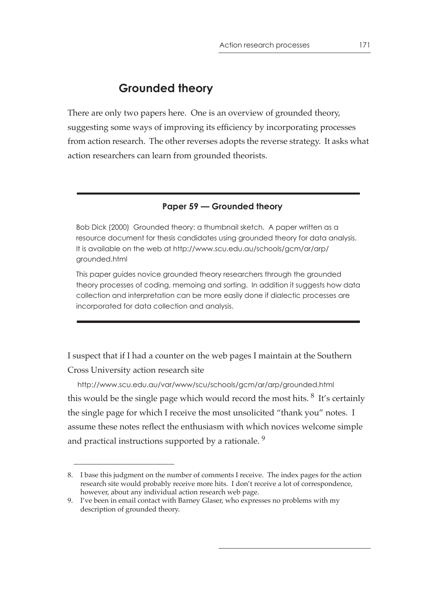# **Grounded theory**

There are only two papers here. One is an overview of grounded theory, suggesting some ways of improving its efficiency by incorporating processes from action research. The other reverses adopts the reverse strategy. It asks what action researchers can learn from grounded theorists.

#### **Paper 59 — Grounded theory**

Bob Dick (2000) Grounded theory: a thumbnail sketch. A paper written as a resource document for thesis candidates using grounded theory for data analysis. It is available on the web at http://www.scu.edu.au/schools/gcm/ar/arp/ grounded.html

This paper guides novice grounded theory researchers through the grounded theory processes of coding, memoing and sorting. In addition it suggests how data collection and interpretation can be more easily done if dialectic processes are incorporated for data collection and analysis.

I suspect that if I had a counter on the web pages I maintain at the Southern Cross University action research site

 http://www.scu.edu.au/var/www/scu/schools/gcm/ar/arp/grounded.html this would be the single page which would record the most hits.  $8$  It's certainly the single page for which I receive the most unsolicited "thank you" notes. I assume these notes reflect the enthusiasm with which novices welcome simple and practical instructions supported by a rationale.<sup>9</sup>

<sup>8.</sup> I base this judgment on the number of comments I receive. The index pages for the action research site would probably receive more hits. I don't receive a lot of correspondence, however, about any individual action research web page.

<sup>9.</sup> I've been in email contact with Barney Glaser, who expresses no problems with my description of grounded theory.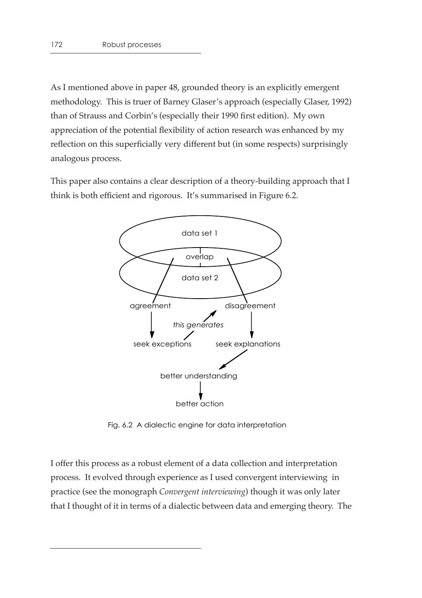As I mentioned above in paper 48, grounded theory is an explicitly emergent methodology. This is truer of Barney Glaser's approach (especially Glaser, 1992) than of Strauss and Corbin's (especially their 1990 first edition). My own appreciation of the potential flexibility of action research was enhanced by my reflection on this superficially very different but (in some respects) surprisingly analogous process.

This paper also contains a clear description of a theory-building approach that I think is both efficient and rigorous. It's summarised in Figure 6.2.



Fig. 6.2 A dialectic engine for data interpretation

I offer this process as a robust element of a data collection and interpretation process. It evolved through experience as I used convergent interviewing in practice (see the monograph *Convergent interviewing*) though it was only later that I thought of it in terms of a dialectic between data and emerging theory. The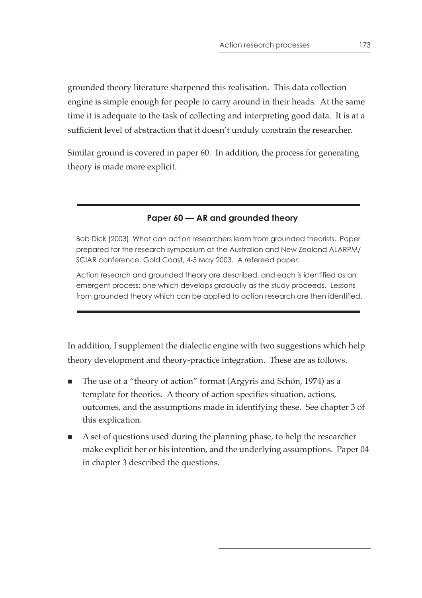grounded theory literature sharpened this realisation. This data collection engine is simple enough for people to carry around in their heads. At the same time it is adequate to the task of collecting and interpreting good data. It is at a sufficient level of abstraction that it doesn't unduly constrain the researcher.

Similar ground is covered in paper 60. In addition, the process for generating theory is made more explicit.

## **Paper 60 — AR and grounded theory**

Bob Dick (2003) What can action researchers learn from grounded theorists. Paper prepared for the research symposium at the Australian and New Zealand ALARPM/ SCIAR conference, Gold Coast, 4-5 May 2003. A refereed paper.

Action research and grounded theory are described, and each is identified as an emergent process: one which develops gradually as the study proceeds. Lessons from grounded theory which can be applied to action research are then identified.

In addition, I supplement the dialectic engine with two suggestions which help theory development and theory-practice integration. These are as follows.

- The use of a "theory of action" format (Argyris and Schön, 1974) as a template for theories. A theory of action specifies situation, actions, outcomes, and the assumptions made in identifying these. See chapter 3 of this explication.
- A set of questions used during the planning phase, to help the researcher make explicit her or his intention, and the underlying assumptions. Paper 04 in chapter 3 described the questions.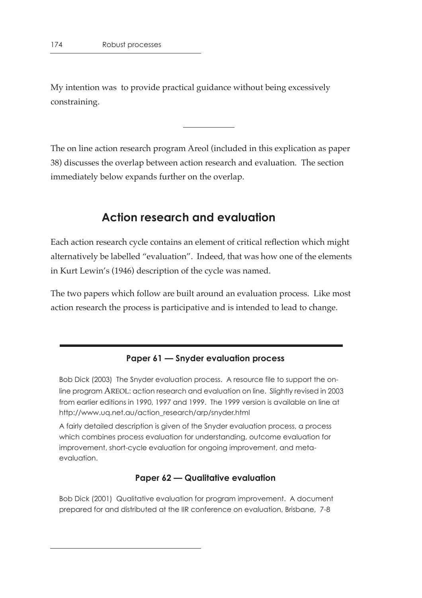My intention was to provide practical guidance without being excessively constraining.

The on line action research program Areol (included in this explication as paper 38) discusses the overlap between action research and evaluation. The section immediately below expands further on the overlap.

# **Action research and evaluation**

Each action research cycle contains an element of critical reflection which might alternatively be labelled "evaluation". Indeed, that was how one of the elements in Kurt Lewin's (1946) description of the cycle was named.

The two papers which follow are built around an evaluation process. Like most action research the process is participative and is intended to lead to change.

#### **Paper 61 — Snyder evaluation process**

Bob Dick (2003) The Snyder evaluation process. A resource file to support the online program AREOL: action research and evaluation on line. Slightly revised in 2003 from earlier editions in 1990, 1997 and 1999. The 1999 version is available on line at http://www.uq.net.au/action\_research/arp/snyder.html

A fairly detailed description is given of the Snyder evaluation process, a process which combines process evaluation for understanding, outcome evaluation for improvement, short-cycle evaluation for ongoing improvement, and metaevaluation.

#### **Paper 62 — Qualitative evaluation**

Bob Dick (2001) Qualitative evaluation for program improvement. A document prepared for and distributed at the IIR conference on evaluation, Brisbane, 7-8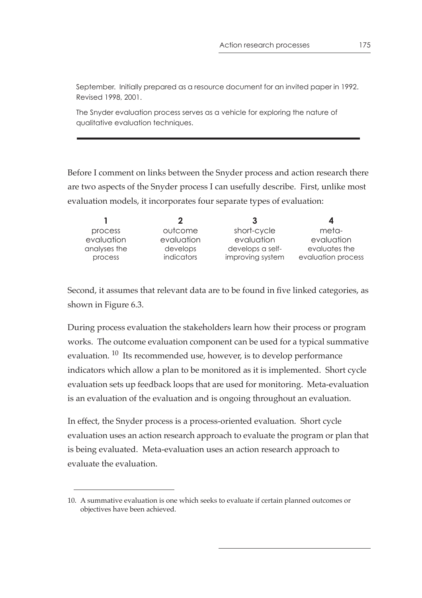September. Initially prepared as a resource document for an invited paper in 1992. Revised 1998, 2001.

The Snyder evaluation process serves as a vehicle for exploring the nature of qualitative evaluation techniques.

Before I comment on links between the Snyder process and action research there are two aspects of the Snyder process I can usefully describe. First, unlike most evaluation models, it incorporates four separate types of evaluation:

|                         |                        | 3                                    | 4                                   |
|-------------------------|------------------------|--------------------------------------|-------------------------------------|
| process                 | outcome                | short-cycle                          | meta-                               |
| evaluation              | evaluation             | evaluation                           | evaluation                          |
| analyses the<br>process | develops<br>indicators | develops a self-<br>improving system | evaluates the<br>evaluation process |
|                         |                        |                                      |                                     |

Second, it assumes that relevant data are to be found in five linked categories, as shown in Figure 6.3.

During process evaluation the stakeholders learn how their process or program works. The outcome evaluation component can be used for a typical summative evaluation.<sup>10</sup> Its recommended use, however, is to develop performance indicators which allow a plan to be monitored as it is implemented. Short cycle evaluation sets up feedback loops that are used for monitoring. Meta-evaluation is an evaluation of the evaluation and is ongoing throughout an evaluation.

In effect, the Snyder process is a process-oriented evaluation. Short cycle evaluation uses an action research approach to evaluate the program or plan that is being evaluated. Meta-evaluation uses an action research approach to evaluate the evaluation.

<sup>10.</sup> A summative evaluation is one which seeks to evaluate if certain planned outcomes or objectives have been achieved.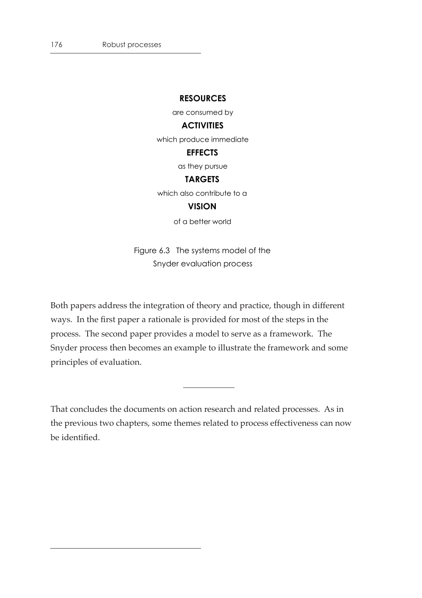#### **RESOURCES**

are consumed by

#### **ACTIVITIES**

which produce immediate

#### **EFFECTS**

as they pursue

#### **TARGETS**

which also contribute to a

#### **VISION**

of a better world

Figure 6.3 The systems model of the Snyder evaluation process

Both papers address the integration of theory and practice, though in different ways. In the first paper a rationale is provided for most of the steps in the process. The second paper provides a model to serve as a framework. The Snyder process then becomes an example to illustrate the framework and some principles of evaluation.

That concludes the documents on action research and related processes. As in the previous two chapters, some themes related to process effectiveness can now be identified.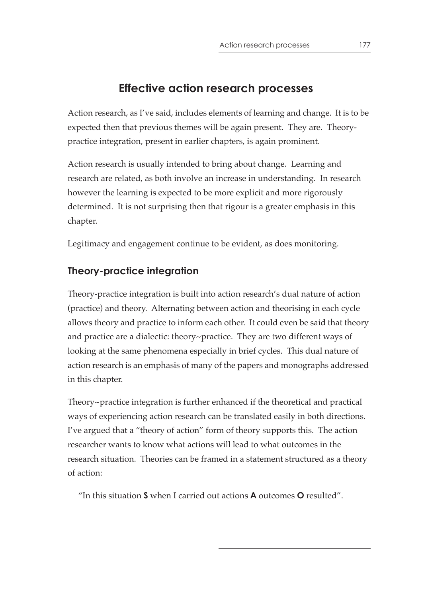# **Effective action research processes**

Action research, as I've said, includes elements of learning and change. It is to be expected then that previous themes will be again present. They are. Theorypractice integration, present in earlier chapters, is again prominent.

Action research is usually intended to bring about change. Learning and research are related, as both involve an increase in understanding. In research however the learning is expected to be more explicit and more rigorously determined. It is not surprising then that rigour is a greater emphasis in this chapter.

Legitimacy and engagement continue to be evident, as does monitoring.

# **Theory-practice integration**

Theory-practice integration is built into action research's dual nature of action (practice) and theory. Alternating between action and theorising in each cycle allows theory and practice to inform each other. It could even be said that theory and practice are a dialectic: theory~practice. They are two different ways of looking at the same phenomena especially in brief cycles. This dual nature of action research is an emphasis of many of the papers and monographs addressed in this chapter.

Theory~practice integration is further enhanced if the theoretical and practical ways of experiencing action research can be translated easily in both directions. I've argued that a "theory of action" form of theory supports this. The action researcher wants to know what actions will lead to what outcomes in the research situation. Theories can be framed in a statement structured as a theory of action:

"In this situation **S** when I carried out actions **A** outcomes **O** resulted".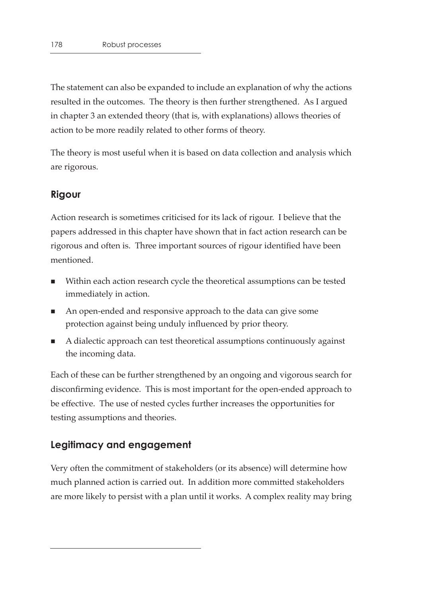The statement can also be expanded to include an explanation of why the actions resulted in the outcomes. The theory is then further strengthened. As I argued in chapter 3 an extended theory (that is, with explanations) allows theories of action to be more readily related to other forms of theory.

The theory is most useful when it is based on data collection and analysis which are rigorous.

## **Rigour**

Action research is sometimes criticised for its lack of rigour. I believe that the papers addressed in this chapter have shown that in fact action research can be rigorous and often is. Three important sources of rigour identified have been mentioned.

- Within each action research cycle the theoretical assumptions can be tested immediately in action.
- An open-ended and responsive approach to the data can give some protection against being unduly influenced by prior theory.
- A dialectic approach can test theoretical assumptions continuously against the incoming data.

Each of these can be further strengthened by an ongoing and vigorous search for disconfirming evidence. This is most important for the open-ended approach to be effective. The use of nested cycles further increases the opportunities for testing assumptions and theories.

# **Legitimacy and engagement**

Very often the commitment of stakeholders (or its absence) will determine how much planned action is carried out. In addition more committed stakeholders are more likely to persist with a plan until it works. A complex reality may bring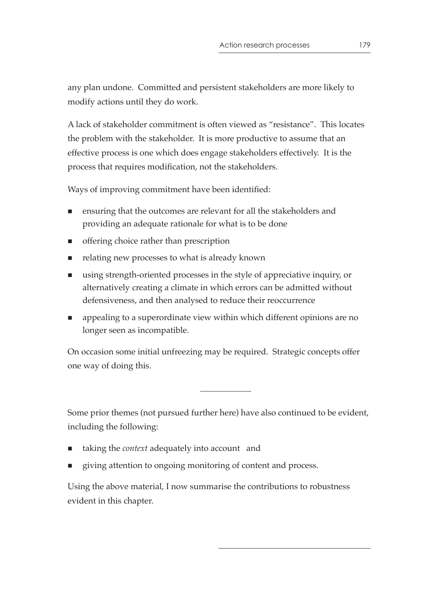any plan undone. Committed and persistent stakeholders are more likely to modify actions until they do work.

A lack of stakeholder commitment is often viewed as "resistance". This locates the problem with the stakeholder. It is more productive to assume that an effective process is one which does engage stakeholders effectively. It is the process that requires modification, not the stakeholders.

Ways of improving commitment have been identified:

- ensuring that the outcomes are relevant for all the stakeholders and providing an adequate rationale for what is to be done
- **n** offering choice rather than prescription
- relating new processes to what is already known
- using strength-oriented processes in the style of appreciative inquiry, or alternatively creating a climate in which errors can be admitted without defensiveness, and then analysed to reduce their reoccurrence
- **•** appealing to a superordinate view within which different opinions are no longer seen as incompatible.

On occasion some initial unfreezing may be required. Strategic concepts offer one way of doing this.

Some prior themes (not pursued further here) have also continued to be evident, including the following:

- taking the *context* adequately into account and
- giving attention to ongoing monitoring of content and process.

Using the above material, I now summarise the contributions to robustness evident in this chapter.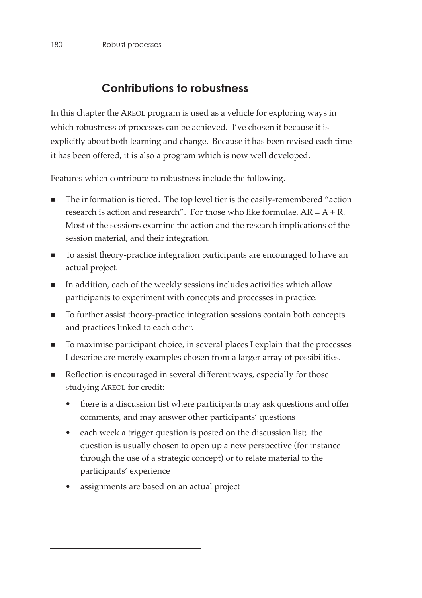# **Contributions to robustness**

In this chapter the AREOL program is used as a vehicle for exploring ways in which robustness of processes can be achieved. I've chosen it because it is explicitly about both learning and change. Because it has been revised each time it has been offered, it is also a program which is now well developed.

Features which contribute to robustness include the following.

- The information is tiered. The top level tier is the easily-remembered "action research is action and research". For those who like formulae,  $AR = A + R$ . Most of the sessions examine the action and the research implications of the session material, and their integration.
- To assist theory-practice integration participants are encouraged to have an actual project.
- In addition, each of the weekly sessions includes activities which allow participants to experiment with concepts and processes in practice.
- To further assist theory-practice integration sessions contain both concepts and practices linked to each other.
- To maximise participant choice, in several places I explain that the processes I describe are merely examples chosen from a larger array of possibilities.
- Reflection is encouraged in several different ways, especially for those studying AREOL for credit:
	- there is a discussion list where participants may ask questions and offer comments, and may answer other participants' questions
	- each week a trigger question is posted on the discussion list; the question is usually chosen to open up a new perspective (for instance through the use of a strategic concept) or to relate material to the participants' experience
	- assignments are based on an actual project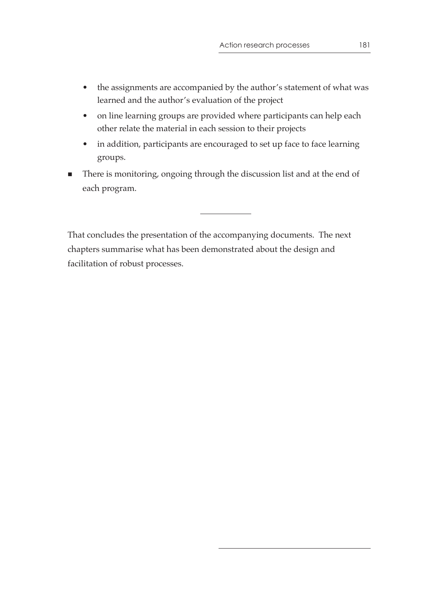- the assignments are accompanied by the author's statement of what was learned and the author's evaluation of the project
- on line learning groups are provided where participants can help each other relate the material in each session to their projects
- in addition, participants are encouraged to set up face to face learning groups.
- There is monitoring, ongoing through the discussion list and at the end of each program.

That concludes the presentation of the accompanying documents. The next chapters summarise what has been demonstrated about the design and facilitation of robust processes.